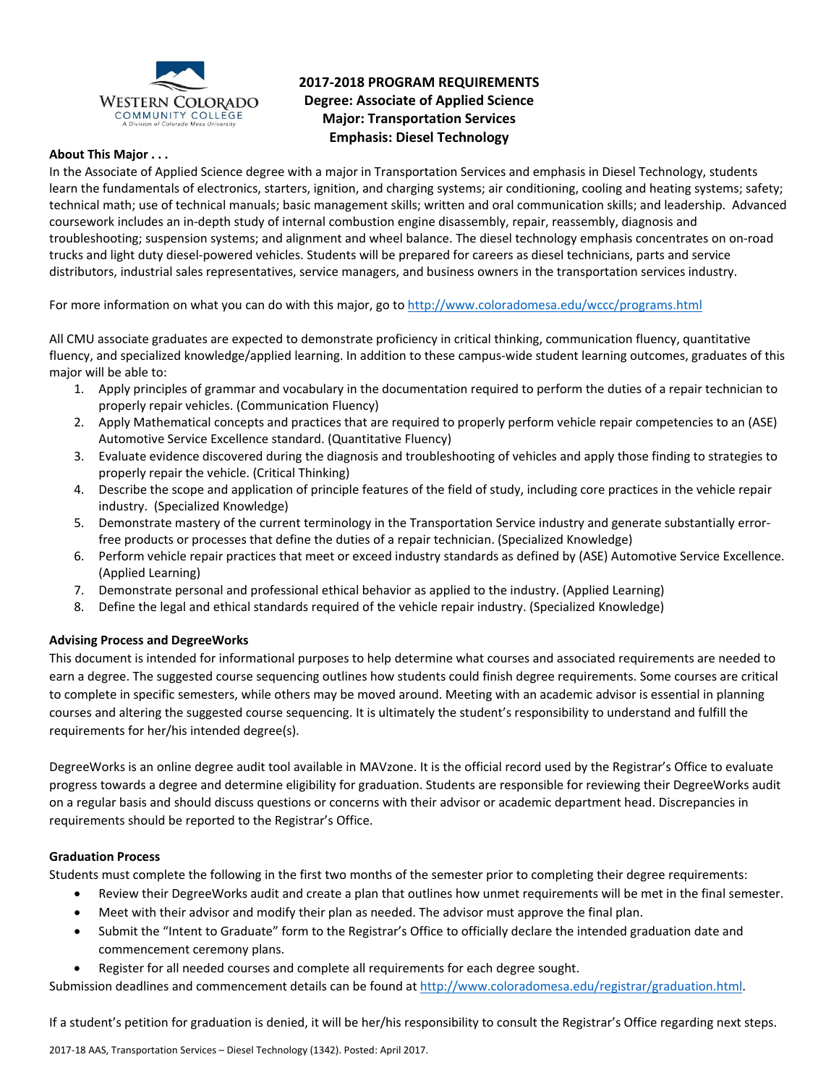

# **2017‐2018 PROGRAM REQUIREMENTS Degree: Associate of Applied Science Major: Transportation Services Emphasis: Diesel Technology**

### **About This Major . . .**

In the Associate of Applied Science degree with a major in Transportation Services and emphasis in Diesel Technology, students learn the fundamentals of electronics, starters, ignition, and charging systems; air conditioning, cooling and heating systems; safety; technical math; use of technical manuals; basic management skills; written and oral communication skills; and leadership. Advanced coursework includes an in‐depth study of internal combustion engine disassembly, repair, reassembly, diagnosis and troubleshooting; suspension systems; and alignment and wheel balance. The diesel technology emphasis concentrates on on‐road trucks and light duty diesel‐powered vehicles. Students will be prepared for careers as diesel technicians, parts and service distributors, industrial sales representatives, service managers, and business owners in the transportation services industry.

For more information on what you can do with this major, go to http://www.coloradomesa.edu/wccc/programs.html

All CMU associate graduates are expected to demonstrate proficiency in critical thinking, communication fluency, quantitative fluency, and specialized knowledge/applied learning. In addition to these campus-wide student learning outcomes, graduates of this major will be able to:

- 1. Apply principles of grammar and vocabulary in the documentation required to perform the duties of a repair technician to properly repair vehicles. (Communication Fluency)
- 2. Apply Mathematical concepts and practices that are required to properly perform vehicle repair competencies to an (ASE) Automotive Service Excellence standard. (Quantitative Fluency)
- 3. Evaluate evidence discovered during the diagnosis and troubleshooting of vehicles and apply those finding to strategies to properly repair the vehicle. (Critical Thinking)
- 4. Describe the scope and application of principle features of the field of study, including core practices in the vehicle repair industry. (Specialized Knowledge)
- 5. Demonstrate mastery of the current terminology in the Transportation Service industry and generate substantially errorfree products or processes that define the duties of a repair technician. (Specialized Knowledge)
- 6. Perform vehicle repair practices that meet or exceed industry standards as defined by (ASE) Automotive Service Excellence. (Applied Learning)
- 7. Demonstrate personal and professional ethical behavior as applied to the industry. (Applied Learning)
- 8. Define the legal and ethical standards required of the vehicle repair industry. (Specialized Knowledge)

# **Advising Process and DegreeWorks**

This document is intended for informational purposes to help determine what courses and associated requirements are needed to earn a degree. The suggested course sequencing outlines how students could finish degree requirements. Some courses are critical to complete in specific semesters, while others may be moved around. Meeting with an academic advisor is essential in planning courses and altering the suggested course sequencing. It is ultimately the student's responsibility to understand and fulfill the requirements for her/his intended degree(s).

DegreeWorks is an online degree audit tool available in MAVzone. It is the official record used by the Registrar's Office to evaluate progress towards a degree and determine eligibility for graduation. Students are responsible for reviewing their DegreeWorks audit on a regular basis and should discuss questions or concerns with their advisor or academic department head. Discrepancies in requirements should be reported to the Registrar's Office.

#### **Graduation Process**

Students must complete the following in the first two months of the semester prior to completing their degree requirements:

- Review their DegreeWorks audit and create a plan that outlines how unmet requirements will be met in the final semester.
- Meet with their advisor and modify their plan as needed. The advisor must approve the final plan.
- Submit the "Intent to Graduate" form to the Registrar's Office to officially declare the intended graduation date and commencement ceremony plans.
- Register for all needed courses and complete all requirements for each degree sought.

Submission deadlines and commencement details can be found at http://www.coloradomesa.edu/registrar/graduation.html.

If a student's petition for graduation is denied, it will be her/his responsibility to consult the Registrar's Office regarding next steps.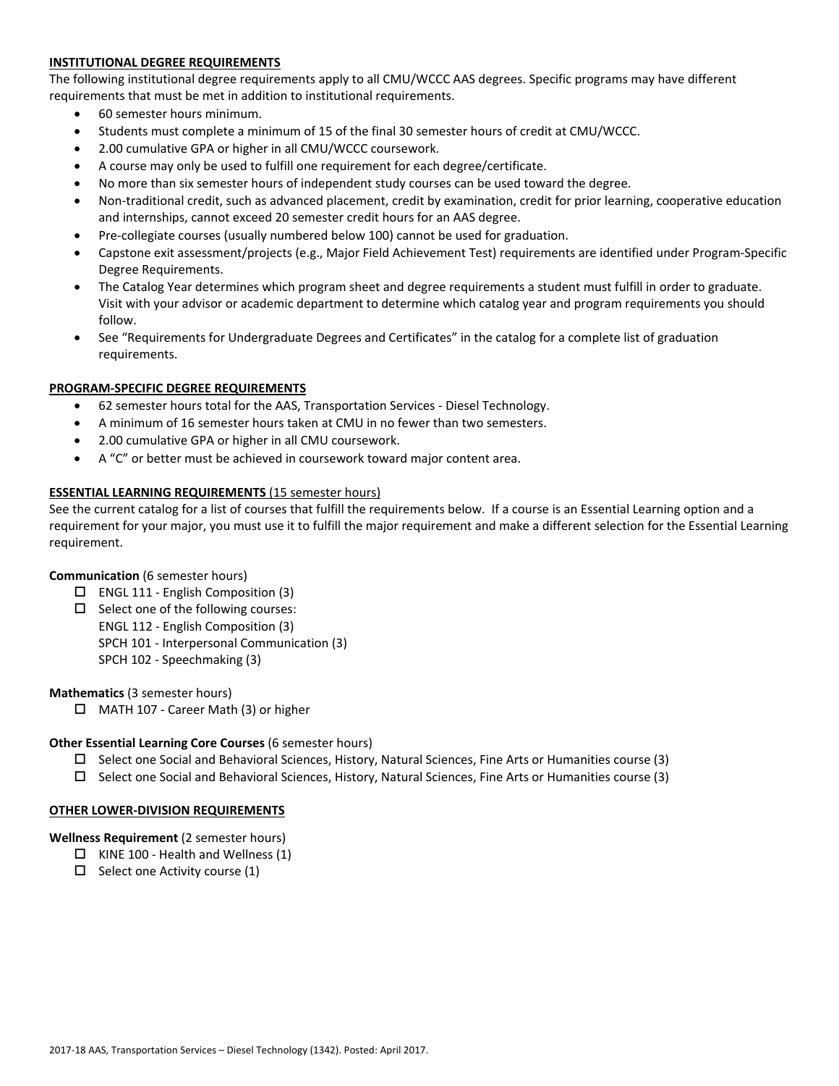# **INSTITUTIONAL DEGREE REQUIREMENTS**

The following institutional degree requirements apply to all CMU/WCCC AAS degrees. Specific programs may have different requirements that must be met in addition to institutional requirements.

- 60 semester hours minimum.
- Students must complete a minimum of 15 of the final 30 semester hours of credit at CMU/WCCC.
- 2.00 cumulative GPA or higher in all CMU/WCCC coursework.
- A course may only be used to fulfill one requirement for each degree/certificate.
- No more than six semester hours of independent study courses can be used toward the degree.
- Non-traditional credit, such as advanced placement, credit by examination, credit for prior learning, cooperative education and internships, cannot exceed 20 semester credit hours for an AAS degree.
- Pre‐collegiate courses (usually numbered below 100) cannot be used for graduation.
- Capstone exit assessment/projects (e.g., Major Field Achievement Test) requirements are identified under Program‐Specific Degree Requirements.
- The Catalog Year determines which program sheet and degree requirements a student must fulfill in order to graduate. Visit with your advisor or academic department to determine which catalog year and program requirements you should follow.
- See "Requirements for Undergraduate Degrees and Certificates" in the catalog for a complete list of graduation requirements.

# **PROGRAM‐SPECIFIC DEGREE REQUIREMENTS**

- 62 semester hours total for the AAS, Transportation Services ‐ Diesel Technology.
- A minimum of 16 semester hours taken at CMU in no fewer than two semesters.
- 2.00 cumulative GPA or higher in all CMU coursework.
- A "C" or better must be achieved in coursework toward major content area.

### **ESSENTIAL LEARNING REQUIREMENTS** (15 semester hours)

See the current catalog for a list of courses that fulfill the requirements below. If a course is an Essential Learning option and a requirement for your major, you must use it to fulfill the major requirement and make a different selection for the Essential Learning requirement.

#### **Communication** (6 semester hours)

- $\Box$  ENGL 111 English Composition (3)
- $\square$  Select one of the following courses:
	- ENGL 112 ‐ English Composition (3)
	- SPCH 101 ‐ Interpersonal Communication (3)
	- SPCH 102 ‐ Speechmaking (3)

#### **Mathematics** (3 semester hours)

MATH 107 ‐ Career Math (3) or higher

#### **Other Essential Learning Core Courses** (6 semester hours)

- $\square$  Select one Social and Behavioral Sciences, History, Natural Sciences, Fine Arts or Humanities course (3)
- $\square$  Select one Social and Behavioral Sciences, History, Natural Sciences, Fine Arts or Humanities course (3)

#### **OTHER LOWER‐DIVISION REQUIREMENTS**

# **Wellness Requirement** (2 semester hours)

- $\Box$  KINE 100 Health and Wellness (1)
- $\Box$  Select one Activity course (1)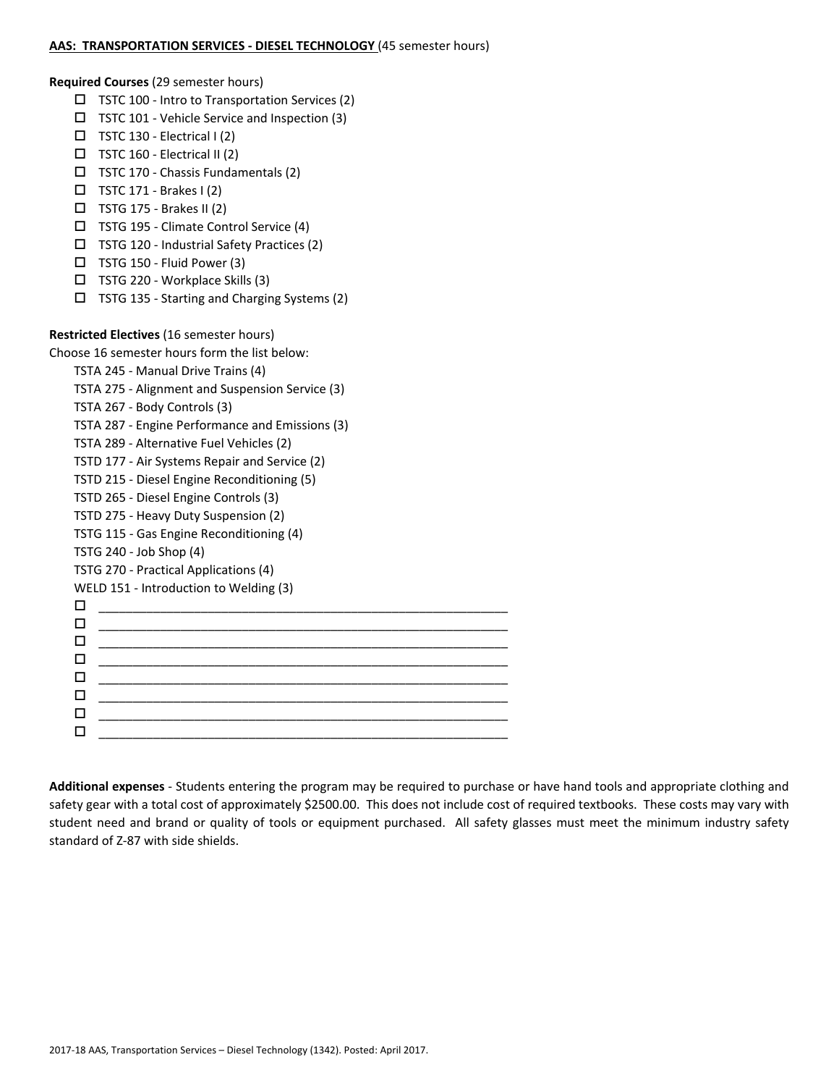#### **AAS: TRANSPORTATION SERVICES ‐ DIESEL TECHNOLOGY** (45 semester hours)

**Required Courses** (29 semester hours)

- $\Box$  TSTC 100 Intro to Transportation Services (2)
- $\Box$  TSTC 101 Vehicle Service and Inspection (3)
- $\Box$  TSTC 130 Electrical I (2)
- $\Box$  TSTC 160 Electrical II (2)
- $\Box$  TSTC 170 Chassis Fundamentals (2)
- $\Box$  TSTC 171 Brakes I (2)
- $\Box$  TSTG 175 Brakes II (2)
- TSTG 195 ‐ Climate Control Service (4)
- TSTG 120 ‐ Industrial Safety Practices (2)
- $\Box$  TSTG 150 Fluid Power (3)
- TSTG 220 ‐ Workplace Skills (3)
- TSTG 135 ‐ Starting and Charging Systems (2)

# **Restricted Electives** (16 semester hours)

Choose 16 semester hours form the list below:

- TSTA 245 ‐ Manual Drive Trains (4) TSTA 275 ‐ Alignment and Suspension Service (3)
- TSTA 267 ‐ Body Controls (3)
- TSTA 287 ‐ Engine Performance and Emissions (3)
- TSTA 289 ‐ Alternative Fuel Vehicles (2)
- TSTD 177 ‐ Air Systems Repair and Service (2)
- TSTD 215 ‐ Diesel Engine Reconditioning (5)
- TSTD 265 ‐ Diesel Engine Controls (3)
- TSTD 275 ‐ Heavy Duty Suspension (2)
- TSTG 115 ‐ Gas Engine Reconditioning (4)
- TSTG 240 ‐ Job Shop (4)
- TSTG 270 ‐ Practical Applications (4)

```
WELD 151 - Introduction to Welding (3)
```
 $\Box$   $\underline{\hspace{1cm}}$   $\underline{\hspace{1cm}}$   $\underline{\hspace{1cm}}$   $\underline{\hspace{1cm}}$   $\overline{\hspace{1cm}}$   $\overline{\hspace{1cm}}$   $\overline{\hspace{1cm}}$   $\overline{\hspace{1cm}}$   $\overline{\hspace{1cm}}$   $\overline{\hspace{1cm}}$   $\overline{\hspace{1cm}}$   $\overline{\hspace{1cm}}$   $\overline{\hspace{1cm}}$   $\overline{\hspace{1cm}}$   $\overline{\hspace{1cm}}$   $\overline{\hspace{1cm}}$   $\overline{\hspace{1$  $\Box$   $\underline{\hspace{1cm}}$   $\underline{\hspace{1cm}}$   $\underline{\hspace{1cm}}$   $\underline{\hspace{1cm}}$   $\overline{\hspace{1cm}}$   $\overline{\hspace{1cm}}$   $\overline{\hspace{1cm}}$   $\overline{\hspace{1cm}}$   $\overline{\hspace{1cm}}$   $\overline{\hspace{1cm}}$   $\overline{\hspace{1cm}}$   $\overline{\hspace{1cm}}$   $\overline{\hspace{1cm}}$   $\overline{\hspace{1cm}}$   $\overline{\hspace{1cm}}$   $\overline{\hspace{1cm}}$   $\overline{\hspace{1$  $\Box$   $\underline{\hspace{1cm}}$   $\underline{\hspace{1cm}}$   $\underline{\hspace{1cm}}$   $\underline{\hspace{1cm}}$   $\overline{\hspace{1cm}}$   $\overline{\hspace{1cm}}$   $\overline{\hspace{1cm}}$   $\overline{\hspace{1cm}}$   $\overline{\hspace{1cm}}$   $\overline{\hspace{1cm}}$   $\overline{\hspace{1cm}}$   $\overline{\hspace{1cm}}$   $\overline{\hspace{1cm}}$   $\overline{\hspace{1cm}}$   $\overline{\hspace{1cm}}$   $\overline{\hspace{1cm}}$   $\overline{\hspace{1$  \_\_\_\_\_\_\_\_\_\_\_\_\_\_\_\_\_\_\_\_\_\_\_\_\_\_\_\_\_\_\_\_\_\_\_\_\_\_\_\_\_\_\_\_\_\_\_\_\_\_\_\_\_\_\_\_\_\_\_\_ \_\_\_\_\_\_\_\_\_\_\_\_\_\_\_\_\_\_\_\_\_\_\_\_\_\_\_\_\_\_\_\_\_\_\_\_\_\_\_\_\_\_\_\_\_\_\_\_\_\_\_\_\_\_\_\_\_\_\_\_  $\Box$  . The contract of the contract of the contract of the contract of the contract of the contract of the contract of the contract of the contract of the contract of the contract of the contract of the contract of the co  $\Box$   $\underline{\hspace{1cm}}$   $\underline{\hspace{1cm}}$   $\underline{\hspace{1cm}}$   $\underline{\hspace{1cm}}$   $\overline{\hspace{1cm}}$   $\overline{\hspace{1cm}}$   $\overline{\hspace{1cm}}$   $\overline{\hspace{1cm}}$   $\overline{\hspace{1cm}}$   $\overline{\hspace{1cm}}$   $\overline{\hspace{1cm}}$   $\overline{\hspace{1cm}}$   $\overline{\hspace{1cm}}$   $\overline{\hspace{1cm}}$   $\overline{\hspace{1cm}}$   $\overline{\hspace{1cm}}$   $\overline{\hspace{1$  $\Box$   $\underline{\hspace{1cm}}$   $\underline{\hspace{1cm}}$   $\underline{\hspace{1cm}}$   $\underline{\hspace{1cm}}$   $\overline{\hspace{1cm}}$   $\overline{\hspace{1cm}}$   $\overline{\hspace{1cm}}$   $\overline{\hspace{1cm}}$   $\overline{\hspace{1cm}}$   $\overline{\hspace{1cm}}$   $\overline{\hspace{1cm}}$   $\overline{\hspace{1cm}}$   $\overline{\hspace{1cm}}$   $\overline{\hspace{1cm}}$   $\overline{\hspace{1cm}}$   $\overline{\hspace{1cm}}$   $\overline{\hspace{1$ 

**Additional expenses** ‐ Students entering the program may be required to purchase or have hand tools and appropriate clothing and safety gear with a total cost of approximately \$2500.00. This does not include cost of required textbooks. These costs may vary with student need and brand or quality of tools or equipment purchased. All safety glasses must meet the minimum industry safety standard of Z‐87 with side shields.